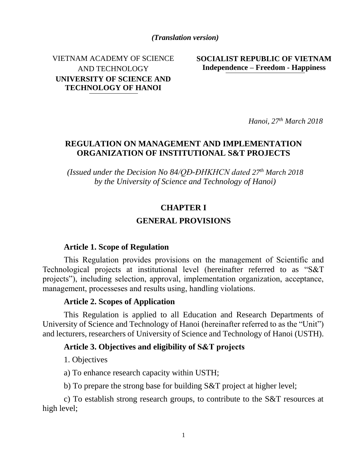*(Translation version)*

VIETNAM ACADEMY OF SCIENCE AND TECHNOLOGY **UNIVERSITY OF SCIENCE AND TECHNOLOGY OF HANOI**

**SOCIALIST REPUBLIC OF VIETNAM Independence – Freedom - Happiness**

*Hanoi, 27th March 2018* 

### **REGULATION ON MANAGEMENT AND IMPLEMENTATION ORGANIZATION OF INSTITUTIONAL S&T PROJECTS**

*(Issued under the Decision No 84/QĐ-ĐHKHCN dated 27th March 2018 by the University of Science and Technology of Hanoi)*

#### **CHAPTER I**

#### **GENERAL PROVISIONS**

#### **Article 1. Scope of Regulation**

This Regulation provides provisions on the management of Scientific and Technological projects at institutional level (hereinafter referred to as "S&T projects"), including selection, approval, implementation organization, acceptance, management, processeses and results using, handling violations.

#### **Article 2. Scopes of Application**

This Regulation is applied to all Education and Research Departments of University of Science and Technology of Hanoi (hereinafter referred to as the "Unit") and lecturers, researchers of University of Science and Technology of Hanoi (USTH).

#### **Article 3. Objectives and eligibility of S&T projects**

1. Objectives

a) To enhance research capacity within USTH;

b) To prepare the strong base for building S&T project at higher level;

c) To establish strong research groups, to contribute to the S&T resources at high level;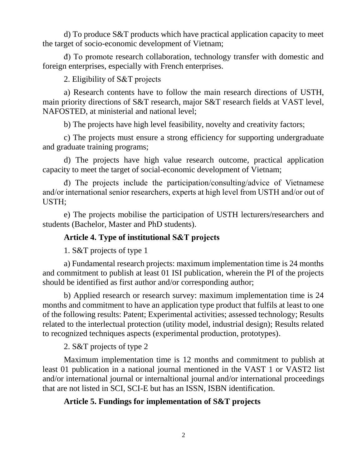d) To produce S&T products which have practical application capacity to meet the target of socio-economic development of Vietnam;

đ) To promote research collaboration, technology transfer with domestic and foreign enterprises, especially with French enterprises.

2. Eligibility of S&T projects

a) Research contents have to follow the main research directions of USTH, main priority directions of S&T research, major S&T research fields at VAST level, NAFOSTED, at ministerial and national level;

b) The projects have high level feasibility, novelty and creativity factors;

c) The projects must ensure a strong efficiency for supporting undergraduate and graduate training programs;

d) The projects have high value research outcome, practical application capacity to meet the target of social-economic development of Vietnam;

đ) The projects include the participation/consulting/advice of Vietnamese and/or international senior researchers, experts at high level from USTH and/or out of USTH;

e) The projects mobilise the participation of USTH lecturers/researchers and students (Bachelor, Master and PhD students).

# **Article 4. Type of institutional S&T projects**

1. S&T projects of type 1

a) Fundamental research projects: maximum implementation time is 24 months and commitment to publish at least 01 ISI publication, wherein the PI of the projects should be identified as first author and/or corresponding author;

b) Applied research or research survey: maximum implementation time is 24 months and commitment to have an application type product that fulfils at least to one of the following results: Patent; Experimental activities; assessed technology; Results related to the interlectual protection (utility model, industrial design); Results related to recognized techniques aspects (experimental production, prototypes).

2. S&T projects of type 2

Maximum implementation time is 12 months and commitment to publish at least 01 publication in a national journal mentioned in the VAST 1 or VAST2 list and/or international journal or internaltional journal and/or international proceedings that are not listed in SCI, SCI-E but has an ISSN, ISBN identification.

#### **Article 5. Fundings for implementation of S&T projects**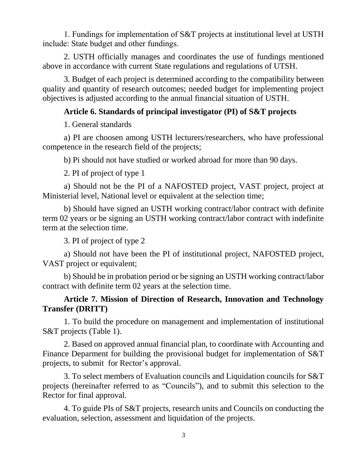1. Fundings for implementation of S&T projects at institutional level at USTH include: State budget and other fundings.

2. USTH officially manages and coordinates the use of fundings mentioned above in accordance with current State regulations and regulations of UTSH.

3. Budget of each project is determined according to the compatibility between quality and quantity of research outcomes; needed budget for implementing project objectives is adjusted according to the annual financial situation of USTH.

#### **Article 6. Standards of principal investigator (PI) of S&T projects**

1. General standards

a) PI are choosen among USTH lecturers/researchers, who have professional competence in the research field of the projects;

b) Pi should not have studied or worked abroad for more than 90 days.

2. PI of project of type 1

a) Should not be the PI of a NAFOSTED project, VAST project, project at Ministerial level, National level or equivalent at the selection time;

b) Should have signed an USTH working contract/labor contract with definite term 02 years or be signing an USTH working contract/labor contract with indefinite term at the selection time.

3. PI of project of type 2

a) Should not have been the PI of institutional project, NAFOSTED project, VAST project or equivalent;

b) Should be in probation period or be signing an USTH working contract/labor contract with definite term 02 years at the selection time.

# **Article 7. Mission of Direction of Research, Innovation and Technology Transfer (DRITT)**

1. To build the procedure on management and implementation of institutional S&T projects (Table 1).

2. Based on approved annual financial plan, to coordinate with Accounting and Finance Deparment for building the provisional budget for implementation of S&T projects, to submit for Rector's approval.

3. To select members of Evaluation councils and Liquidation councils for S&T projects (hereinafter referred to as "Councils"), and to submit this selection to the Rector for final approval.

4. To guide PIs of S&T projects, research units and Councils on conducting the evaluation, selection, assessment and liquidation of the projects.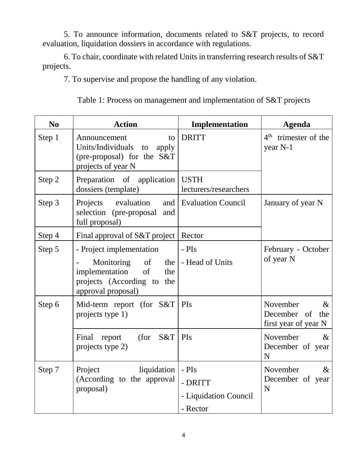5. To announce information, documents related to S&T projects, to record evaluation, liquidation dossiers in accordance with regulations.

6. To chair, coordinate with related Units in transferring research results of S&T projects.

7. To supervise and propose the handling of any violation.

|  |  | Table 1: Process on management and implementation of S&T projects |  |  |  |
|--|--|-------------------------------------------------------------------|--|--|--|
|  |  |                                                                   |  |  |  |

| N <sub>0</sub> | <b>Action</b>                                                                                                                         | Implementation                                         | <b>Agenda</b>                                                  |  |
|----------------|---------------------------------------------------------------------------------------------------------------------------------------|--------------------------------------------------------|----------------------------------------------------------------|--|
| Step 1         | Announcement<br>to<br>Units/Individuals<br>to<br>apply<br>(pre-proposal) for the S&T<br>projects of year N                            | <b>DRITT</b>                                           | 4 <sup>th</sup> trimester of the<br>year N-1                   |  |
| Step 2         | Preparation of application<br>dossiers (template)                                                                                     | <b>USTH</b><br>lecturers/researchers                   |                                                                |  |
| Step 3         | Projects evaluation<br>and  <br>selection (pre-proposal<br>and<br>full proposal)                                                      | <b>Evaluation Council</b>                              | January of year N                                              |  |
| Step 4         | Final approval of S&T project                                                                                                         | Rector                                                 |                                                                |  |
| Step 5         | - Project implementation<br>Monitoring of<br>the  <br>implementation<br>of<br>the<br>projects (According to the<br>approval proposal) | $-PIs$<br>- Head of Units                              | February - October<br>of year N                                |  |
| Step 6         | Mid-term report (for $S&T$ )<br>projects type 1)                                                                                      | <b>PIs</b>                                             | November<br>$\&$<br>December of<br>the<br>first year of year N |  |
|                | (for $S&T$<br>Final report<br>projects type 2)                                                                                        | PIs                                                    | November<br>$\&$<br>December of year<br>N                      |  |
| Step 7         | liquidation<br>Project<br>(According to the approval<br>proposal)                                                                     | $-PIs$<br>- DRITT<br>- Liquidation Council<br>- Rector | November<br>$\&$<br>December of year<br>N                      |  |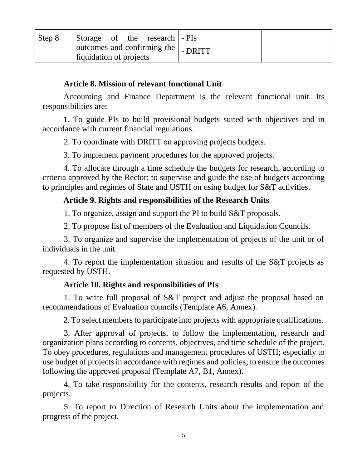| Step 8 | Storage of the research - PIs<br>$\vert$ outcomes and confirming the $\vert$ - DRITT |  |
|--------|--------------------------------------------------------------------------------------|--|
|        | liquidation of projects                                                              |  |

#### **Article 8. Mission of relevant functional Unit**

Accounting and Finance Department is the relevant functional unit. Its responsibilities are:

1. To guide PIs to build provisional budgets suited with objectives and in accordance with current financial regulations.

2. To coordinate with DRITT on approving projects budgets.

3. To implement payment procedures for the approved projects.

4. To allocate through a time schedule the budgets for research, according to criteria approved by the Rector; to supervise and guide the use of budgets according to principles and regimes of State and USTH on using budget for S&T activities.

# **Article 9. Rights and responsibilities of the Research Units**

1. To organize, assign and support the PI to build S&T proposals.

2. To propose list of members of the Evaluation and Liquidation Councils.

3. To organize and supervise the implementation of projects of the unit or of individuals in the unit.

4. To report the implementation situation and results of the S&T projects as requested by USTH.

# **Article 10. Rights and responsibilities of PIs**

1. To write full proposal of S&T project and adjust the proposal based on recommendations of Evaluation councils (Template A6, Annex).

2. To select members to participate into projects with appropriate qualifications.

3. After approval of projects, to follow the implementation, research and organization plans according to contents, objectives, and time schedule of the project. To obey procedures, regulations and management procedures of USTH; especially to use budget of projects in accordance with regimes and policies; to ensure the outcomes following the approved proposal (Template A7, B1, Annex).

4. To take responsibility for the contents, research results and report of the projects.

5. To report to Direction of Research Units about the implementation and progress of the project.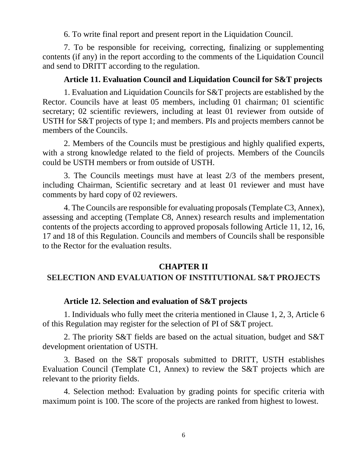6. To write final report and present report in the Liquidation Council.

7. To be responsible for receiving, correcting, finalizing or supplementing contents (if any) in the report according to the comments of the Liquidation Council and send to DRITT according to the regulation.

#### **Article 11. Evaluation Council and Liquidation Council for S&T projects**

1. Evaluation and Liquidation Councils for S&T projects are established by the Rector. Councils have at least 05 members, including 01 chairman; 01 scientific secretary; 02 scientific reviewers, including at least 01 reviewer from outside of USTH for S&T projects of type 1; and members. PIs and projects members cannot be members of the Councils.

2. Members of the Councils must be prestigious and highly qualified experts, with a strong knowledge related to the field of projects. Members of the Councils could be USTH members or from outside of USTH.

3. The Councils meetings must have at least 2/3 of the members present, including Chairman, Scientific secretary and at least 01 reviewer and must have comments by hard copy of 02 reviewers.

4. The Councils are responsible for evaluating proposals (Template C3, Annex), assessing and accepting (Template C8, Annex) research results and implementation contents of the projects according to approved proposals following Article 11, 12, 16, 17 and 18 of this Regulation. Councils and members of Councils shall be responsible to the Rector for the evaluation results.

#### **CHAPTER II**

#### **SELECTION AND EVALUATION OF INSTITUTIONAL S&T PROJECTS**

#### **Article 12. Selection and evaluation of S&T projects**

1. Individuals who fully meet the criteria mentioned in Clause 1, 2, 3, Article 6 of this Regulation may register for the selection of PI of S&T project.

2. The priority S&T fields are based on the actual situation, budget and S&T development orientation of USTH.

3. Based on the S&T proposals submitted to DRITT, USTH establishes Evaluation Council (Template C1, Annex) to review the S&T projects which are relevant to the priority fields.

4. Selection method: Evaluation by grading points for specific criteria with maximum point is 100. The score of the projects are ranked from highest to lowest.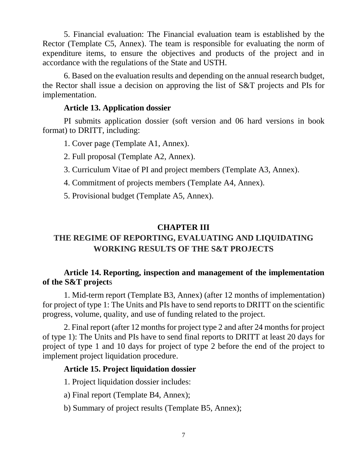5. Financial evaluation: The Financial evaluation team is established by the Rector (Template C5, Annex). The team is responsible for evaluating the norm of expenditure items, to ensure the objectives and products of the project and in accordance with the regulations of the State and USTH.

6. Based on the evaluation results and depending on the annual research budget, the Rector shall issue a decision on approving the list of S&T projects and PIs for implementation.

#### **Article 13. Application dossier**

PI submits application dossier (soft version and 06 hard versions in book format) to DRITT, including:

1. Cover page (Template A1, Annex).

2. Full proposal (Template A2, Annex).

- 3. Curriculum Vitae of PI and project members (Template A3, Annex).
- 4. Commitment of projects members (Template A4, Annex).
- 5. Provisional budget (Template A5, Annex).

# **CHAPTER III**

# **THE REGIME OF REPORTING, EVALUATING AND LIQUIDATING WORKING RESULTS OF THE S&T PROJECTS**

# **Article 14. Reporting, inspection and management of the implementation of the S&T project**s

1. Mid-term report (Template B3, Annex) (after 12 months of implementation) for project of type 1: The Units and PIs have to send reports to DRITT on the scientific progress, volume, quality, and use of funding related to the project.

2. Final report (after 12 months for project type 2 and after 24 months for project of type 1): The Units and PIs have to send final reports to DRITT at least 20 days for project of type 1 and 10 days for project of type 2 before the end of the project to implement project liquidation procedure.

# **Article 15. Project liquidation dossier**

1. Project liquidation dossier includes:

a) Final report (Template B4, Annex);

b) Summary of project results (Template B5, Annex);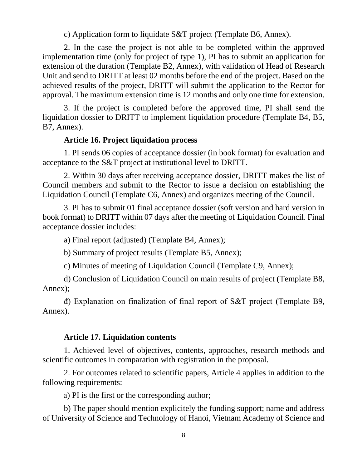c) Application form to liquidate S&T project (Template B6, Annex).

2. In the case the project is not able to be completed within the approved implementation time (only for project of type 1), PI has to submit an application for extension of the duration (Template B2, Annex), with validation of Head of Research Unit and send to DRITT at least 02 months before the end of the project. Based on the achieved results of the project, DRITT will submit the application to the Rector for approval. The maximum extension time is 12 months and only one time for extension.

3. If the project is completed before the approved time, PI shall send the liquidation dossier to DRITT to implement liquidation procedure (Template B4, B5, B7, Annex).

#### **Article 16. Project liquidation process**

1. PI sends 06 copies of acceptance dossier (in book format) for evaluation and acceptance to the S&T project at institutional level to DRITT.

2. Within 30 days after receiving acceptance dossier, DRITT makes the list of Council members and submit to the Rector to issue a decision on establishing the Liquidation Council (Template C6, Annex) and organizes meeting of the Council.

3. PI has to submit 01 final acceptance dossier (soft version and hard version in book format) to DRITT within 07 days after the meeting of Liquidation Council. Final acceptance dossier includes:

a) Final report (adjusted) (Template B4, Annex);

b) Summary of project results (Template B5, Annex);

c) Minutes of meeting of Liquidation Council (Template C9, Annex);

d) Conclusion of Liquidation Council on main results of project (Template B8, Annex);

đ) Explanation on finalization of final report of S&T project (Template B9, Annex).

#### **Article 17. Liquidation contents**

1. Achieved level of objectives, contents, approaches, research methods and scientific outcomes in comparation with registration in the proposal.

2. For outcomes related to scientific papers, Article 4 applies in addition to the following requirements:

a) PI is the first or the corresponding author;

b) The paper should mention explicitely the funding support; name and address of University of Science and Technology of Hanoi, Vietnam Academy of Science and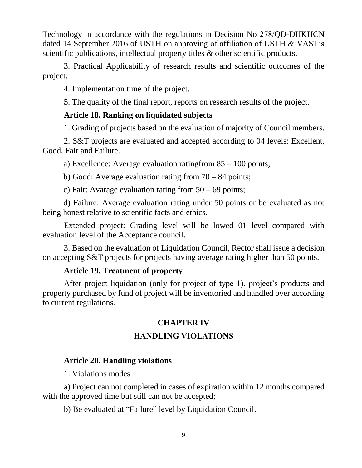Technology in accordance with the regulations in Decision No 278/QĐ-ĐHKHCN dated 14 September 2016 of USTH on approving of affiliation of USTH & VAST's scientific publications, intellectual property titles & other scientific products.

3. Practical Applicability of research results and scientific outcomes of the project.

4. Implementation time of the project.

5. The quality of the final report, reports on research results of the project.

# **Article 18. Ranking on liquidated subjects**

1. Grading of projects based on the evaluation of majority of Council members.

2. S&T projects are evaluated and accepted according to 04 levels: Excellent, Good, Fair and Failure.

a) Excellence: Average evaluation ratingfrom 85 – 100 points;

b) Good: Average evaluation rating from  $70 - 84$  points;

c) Fair: Avarage evaluation rating from  $50 - 69$  points;

d) Failure: Average evaluation rating under 50 points or be evaluated as not being honest relative to scientific facts and ethics.

Extended project: Grading level will be lowed 01 level compared with evaluation level of the Acceptance council.

3. Based on the evaluation of Liquidation Council, Rector shall issue a decision on accepting S&T projects for projects having average rating higher than 50 points.

# **Article 19. Treatment of property**

After project liquidation (only for project of type 1), project's products and property purchased by fund of project will be inventoried and handled over according to current regulations.

# **CHAPTER IV HANDLING VIOLATIONS**

# **Article 20. Handling violations**

1. Violations modes

a) Project can not completed in cases of expiration within 12 months compared with the approved time but still can not be accepted;

b) Be evaluated at "Failure" level by Liquidation Council.